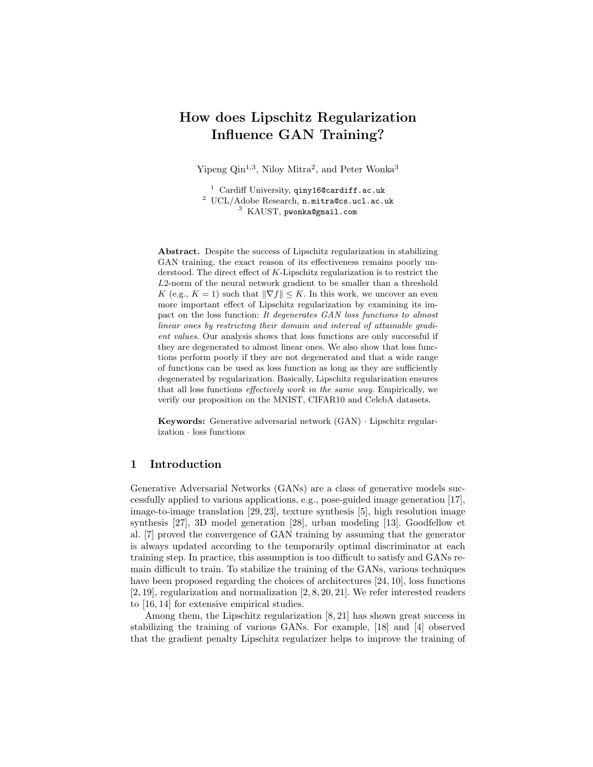# How does Lipschitz Regularization Influence GAN Training?

Yipeng  $\mathrm{Qin}^{1,3}$ , Niloy Mitra<sup>2</sup>, and Peter Wonka<sup>3</sup>

<sup>1</sup> Cardiff University, qiny16@cardiff.ac.uk <sup>2</sup> UCL/Adobe Research, n.mitra@cs.ucl.ac.uk <sup>3</sup> KAUST, pwonka@gmail.com

Abstract. Despite the success of Lipschitz regularization in stabilizing GAN training, the exact reason of its effectiveness remains poorly understood. The direct effect of K-Lipschitz regularization is to restrict the L2-norm of the neural network gradient to be smaller than a threshold K (e.g.,  $K = 1$ ) such that  $\|\nabla f\| \leq K$ . In this work, we uncover an even more important effect of Lipschitz regularization by examining its impact on the loss function: It degenerates GAN loss functions to almost linear ones by restricting their domain and interval of attainable gradient values. Our analysis shows that loss functions are only successful if they are degenerated to almost linear ones. We also show that loss functions perform poorly if they are not degenerated and that a wide range of functions can be used as loss function as long as they are sufficiently degenerated by regularization. Basically, Lipschitz regularization ensures that all loss functions effectively work in the same way. Empirically, we verify our proposition on the MNIST, CIFAR10 and CelebA datasets.

Keywords: Generative adversarial network (GAN) · Lipschitz regularization · loss functions

# 1 Introduction

Generative Adversarial Networks (GANs) are a class of generative models successfully applied to various applications, e.g., pose-guided image generation [17], image-to-image translation [29, 23], texture synthesis [5], high resolution image synthesis [27], 3D model generation [28], urban modeling [13]. Goodfellow et al. [7] proved the convergence of GAN training by assuming that the generator is always updated according to the temporarily optimal discriminator at each training step. In practice, this assumption is too difficult to satisfy and GANs remain difficult to train. To stabilize the training of the GANs, various techniques have been proposed regarding the choices of architectures [24, 10], loss functions [2, 19], regularization and normalization [2, 8, 20, 21]. We refer interested readers to [16, 14] for extensive empirical studies.

Among them, the Lipschitz regularization [8, 21] has shown great success in stabilizing the training of various GANs. For example, [18] and [4] observed that the gradient penalty Lipschitz regularizer helps to improve the training of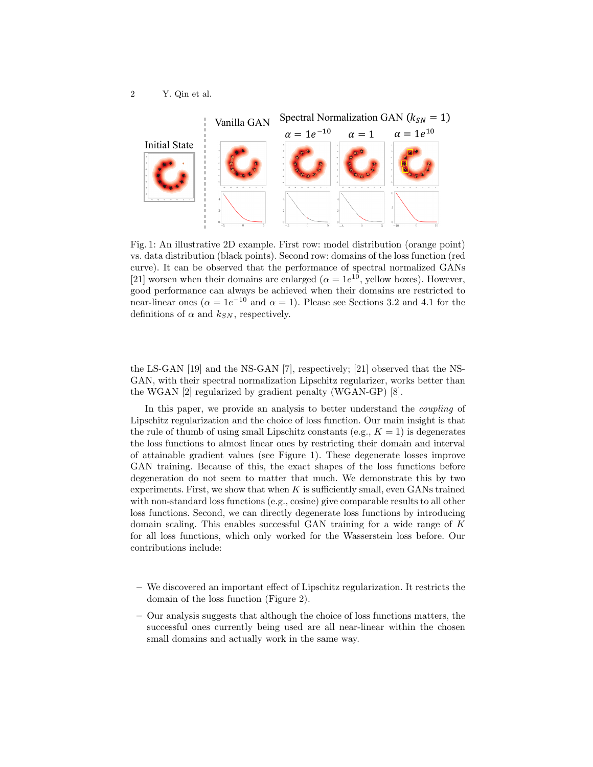

Fig. 1: An illustrative 2D example. First row: model distribution (orange point) vs. data distribution (black points). Second row: domains of the loss function (red curve). It can be observed that the performance of spectral normalized GANs [21] worsen when their domains are enlarged ( $\alpha = 1e^{10}$ , yellow boxes). However, good performance can always be achieved when their domains are restricted to near-linear ones ( $\alpha = 1e^{-10}$  and  $\alpha = 1$ ). Please see Sections 3.2 and 4.1 for the definitions of  $\alpha$  and  $k_{SN}$ , respectively.

the LS-GAN [19] and the NS-GAN [7], respectively; [21] observed that the NS-GAN, with their spectral normalization Lipschitz regularizer, works better than the WGAN [2] regularized by gradient penalty (WGAN-GP) [8].

In this paper, we provide an analysis to better understand the coupling of Lipschitz regularization and the choice of loss function. Our main insight is that the rule of thumb of using small Lipschitz constants (e.g.,  $K = 1$ ) is degenerates the loss functions to almost linear ones by restricting their domain and interval of attainable gradient values (see Figure 1). These degenerate losses improve GAN training. Because of this, the exact shapes of the loss functions before degeneration do not seem to matter that much. We demonstrate this by two experiments. First, we show that when  $K$  is sufficiently small, even GANs trained with non-standard loss functions (e.g., cosine) give comparable results to all other loss functions. Second, we can directly degenerate loss functions by introducing domain scaling. This enables successful GAN training for a wide range of  $K$ for all loss functions, which only worked for the Wasserstein loss before. Our contributions include:

- We discovered an important effect of Lipschitz regularization. It restricts the domain of the loss function (Figure 2).
- Our analysis suggests that although the choice of loss functions matters, the successful ones currently being used are all near-linear within the chosen small domains and actually work in the same way.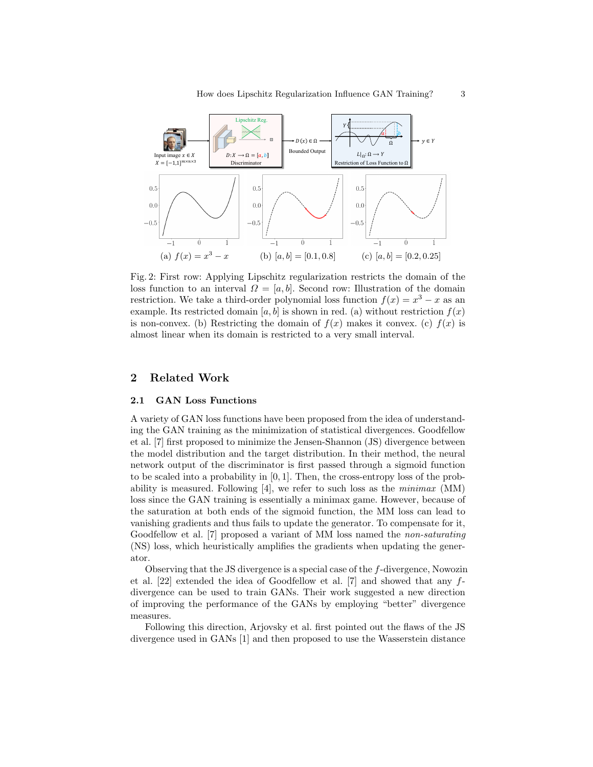

Fig. 2: First row: Applying Lipschitz regularization restricts the domain of the loss function to an interval  $\Omega = [a, b]$ . Second row: Illustration of the domain restriction. We take a third-order polynomial loss function  $f(x) = x^3 - x$  as an example. Its restricted domain [a, b] is shown in red. (a) without restriction  $f(x)$ is non-convex. (b) Restricting the domain of  $f(x)$  makes it convex. (c)  $f(x)$  is almost linear when its domain is restricted to a very small interval.

# 2 Related Work

#### 2.1 GAN Loss Functions

A variety of GAN loss functions have been proposed from the idea of understanding the GAN training as the minimization of statistical divergences. Goodfellow et al. [7] first proposed to minimize the Jensen-Shannon (JS) divergence between the model distribution and the target distribution. In their method, the neural network output of the discriminator is first passed through a sigmoid function to be scaled into a probability in [0, 1]. Then, the cross-entropy loss of the probability is measured. Following  $[4]$ , we refer to such loss as the *minimax* (MM) loss since the GAN training is essentially a minimax game. However, because of the saturation at both ends of the sigmoid function, the MM loss can lead to vanishing gradients and thus fails to update the generator. To compensate for it, Goodfellow et al. [7] proposed a variant of MM loss named the non-saturating (NS) loss, which heuristically amplifies the gradients when updating the generator.

Observing that the JS divergence is a special case of the f-divergence, Nowozin et al. [22] extended the idea of Goodfellow et al. [7] and showed that any fdivergence can be used to train GANs. Their work suggested a new direction of improving the performance of the GANs by employing "better" divergence measures.

Following this direction, Arjovsky et al. first pointed out the flaws of the JS divergence used in GANs [1] and then proposed to use the Wasserstein distance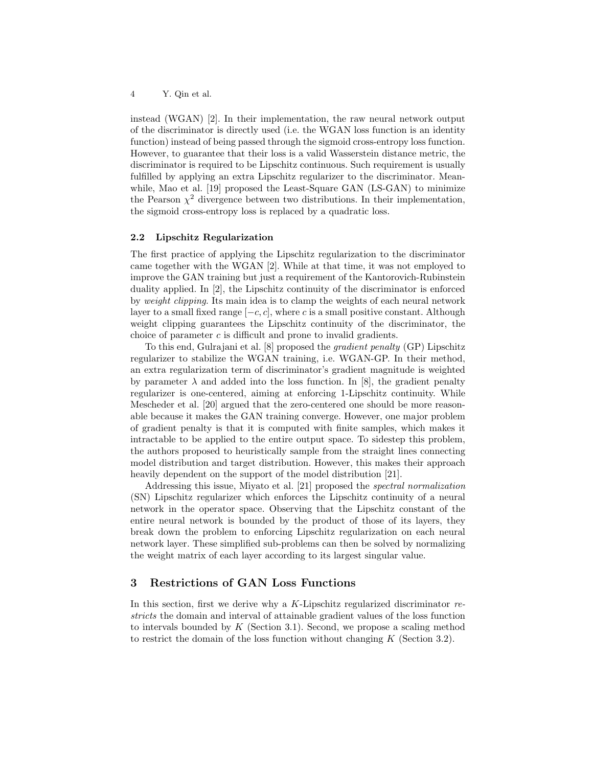instead (WGAN) [2]. In their implementation, the raw neural network output of the discriminator is directly used (i.e. the WGAN loss function is an identity function) instead of being passed through the sigmoid cross-entropy loss function. However, to guarantee that their loss is a valid Wasserstein distance metric, the discriminator is required to be Lipschitz continuous. Such requirement is usually fulfilled by applying an extra Lipschitz regularizer to the discriminator. Meanwhile, Mao et al. [19] proposed the Least-Square GAN (LS-GAN) to minimize the Pearson  $\chi^2$  divergence between two distributions. In their implementation, the sigmoid cross-entropy loss is replaced by a quadratic loss.

### 2.2 Lipschitz Regularization

The first practice of applying the Lipschitz regularization to the discriminator came together with the WGAN [2]. While at that time, it was not employed to improve the GAN training but just a requirement of the Kantorovich-Rubinstein duality applied. In [2], the Lipschitz continuity of the discriminator is enforced by weight clipping. Its main idea is to clamp the weights of each neural network layer to a small fixed range  $[-c, c]$ , where c is a small positive constant. Although weight clipping guarantees the Lipschitz continuity of the discriminator, the choice of parameter  $c$  is difficult and prone to invalid gradients.

To this end, Gulrajani et al. [8] proposed the gradient penalty (GP) Lipschitz regularizer to stabilize the WGAN training, i.e. WGAN-GP. In their method, an extra regularization term of discriminator's gradient magnitude is weighted by parameter  $\lambda$  and added into the loss function. In [8], the gradient penalty regularizer is one-centered, aiming at enforcing 1-Lipschitz continuity. While Mescheder et al. [20] argued that the zero-centered one should be more reasonable because it makes the GAN training converge. However, one major problem of gradient penalty is that it is computed with finite samples, which makes it intractable to be applied to the entire output space. To sidestep this problem, the authors proposed to heuristically sample from the straight lines connecting model distribution and target distribution. However, this makes their approach heavily dependent on the support of the model distribution [21].

Addressing this issue, Miyato et al. [21] proposed the spectral normalization (SN) Lipschitz regularizer which enforces the Lipschitz continuity of a neural network in the operator space. Observing that the Lipschitz constant of the entire neural network is bounded by the product of those of its layers, they break down the problem to enforcing Lipschitz regularization on each neural network layer. These simplified sub-problems can then be solved by normalizing the weight matrix of each layer according to its largest singular value.

# 3 Restrictions of GAN Loss Functions

In this section, first we derive why a  $K$ -Lipschitz regularized discriminator restricts the domain and interval of attainable gradient values of the loss function to intervals bounded by  $K$  (Section 3.1). Second, we propose a scaling method to restrict the domain of the loss function without changing  $K$  (Section 3.2).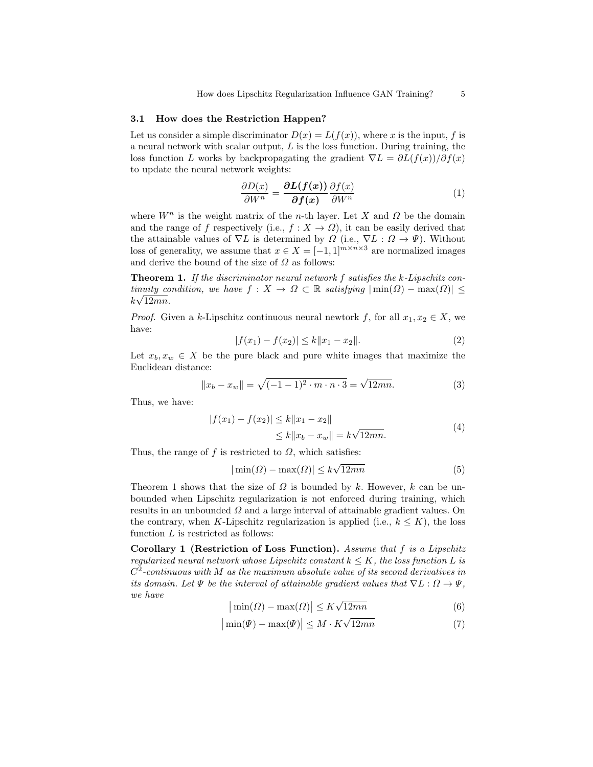#### 3.1 How does the Restriction Happen?

Let us consider a simple discriminator  $D(x) = L(f(x))$ , where x is the input, f is a neural network with scalar output,  $L$  is the loss function. During training, the loss function L works by backpropagating the gradient  $\nabla L = \partial L(f(x))/\partial f(x)$ to update the neural network weights:

$$
\frac{\partial D(x)}{\partial W^n} = \frac{\partial L(f(x))}{\partial f(x)} \frac{\partial f(x)}{\partial W^n}
$$
(1)

where  $W^n$  is the weight matrix of the *n*-th layer. Let X and  $\Omega$  be the domain and the range of f respectively (i.e.,  $f: X \to \Omega$ ), it can be easily derived that the attainable values of  $\nabla L$  is determined by  $\Omega$  (i.e.,  $\nabla L : \Omega \to \Psi$ ). Without loss of generality, we assume that  $x \in X = [-1, 1]^{m \times n \times 3}$  are normalized images and derive the bound of the size of  $\Omega$  as follows:

**Theorem 1.** If the discriminator neural network f satisfies the k-Lipschitz continuity condition, we have  $f: X \to \Omega \subset \mathbb{R}$  satisfying  $|\min(\Omega) - \max(\Omega)| \le$  $k\sqrt{12mn}$ .

*Proof.* Given a k-Lipschitz continuous neural newtork f, for all  $x_1, x_2 \in X$ , we have:

$$
|f(x_1) - f(x_2)| \le k \|x_1 - x_2\|.
$$
 (2)

Let  $x_b, x_w \in X$  be the pure black and pure white images that maximize the Euclidean distance:

$$
||x_b - x_w|| = \sqrt{(-1 - 1)^2 \cdot m \cdot n \cdot 3} = \sqrt{12mn}.
$$
 (3)

Thus, we have:

$$
|f(x_1) - f(x_2)| \le k \|x_1 - x_2\|
$$
  
\n
$$
\le k \|x_b - x_w\| = k\sqrt{12mn}.
$$
\n(4)

Thus, the range of f is restricted to  $\Omega$ , which satisfies:

$$
|\min(\Omega) - \max(\Omega)| \le k\sqrt{12mn} \tag{5}
$$

Theorem 1 shows that the size of  $\Omega$  is bounded by k. However, k can be unbounded when Lipschitz regularization is not enforced during training, which results in an unbounded  $\Omega$  and a large interval of attainable gradient values. On the contrary, when K-Lipschitz regularization is applied (i.e.,  $k \leq K$ ), the loss function  $L$  is restricted as follows:

Corollary 1 (Restriction of Loss Function). Assume that f is a Lipschitz regularized neural network whose Lipschitz constant  $k \leq K$ , the loss function L is  $C^2$ -continuous with M as the maximum absolute value of its second derivatives in its domain. Let  $\Psi$  be the interval of attainable gradient values that  $\nabla L : \Omega \to \Psi$ , we have

$$
|\min(\Omega) - \max(\Omega)| \le K\sqrt{12mn} \tag{6}
$$

$$
|\min(\Psi) - \max(\Psi)| \le M \cdot K\sqrt{12mn} \tag{7}
$$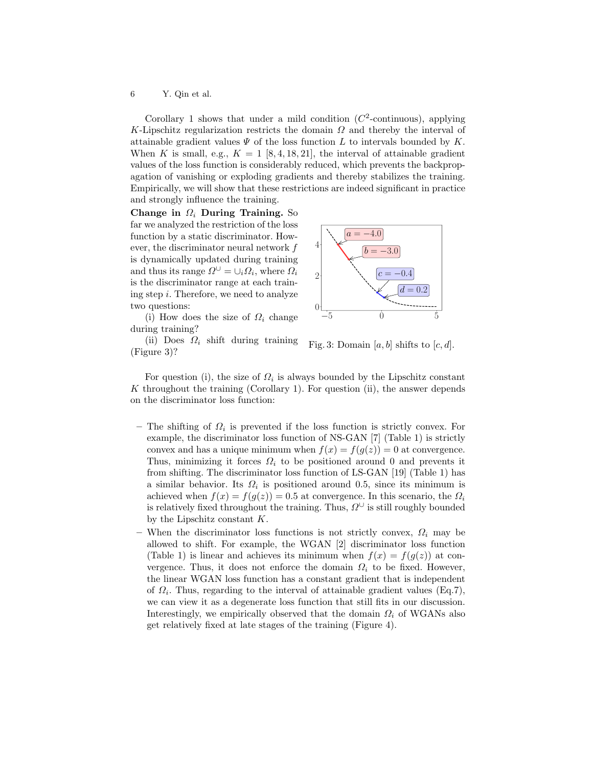Corollary 1 shows that under a mild condition  $(C^2$ -continuous), applying K-Lipschitz regularization restricts the domain  $\Omega$  and thereby the interval of attainable gradient values  $\Psi$  of the loss function L to intervals bounded by K. When K is small, e.g.,  $K = 1$  [8, 4, 18, 21], the interval of attainable gradient values of the loss function is considerably reduced, which prevents the backpropagation of vanishing or exploding gradients and thereby stabilizes the training. Empirically, we will show that these restrictions are indeed significant in practice and strongly influence the training.

Change in  $\Omega_i$  During Training. So far we analyzed the restriction of the loss function by a static discriminator. However, the discriminator neural network f is dynamically updated during training and thus its range  $\Omega^{\cup} = \cup_i \Omega_i$ , where  $\Omega_i$ is the discriminator range at each training step  $i$ . Therefore, we need to analyze two questions:

(i) How does the size of  $\Omega_i$  change during training?





Fig. 3: Domain [a, b] shifts to  $[c, d]$ .

For question (i), the size of  $\Omega_i$  is always bounded by the Lipschitz constant  $K$  throughout the training (Corollary 1). For question (ii), the answer depends on the discriminator loss function:

- The shifting of  $\Omega_i$  is prevented if the loss function is strictly convex. For example, the discriminator loss function of NS-GAN [7] (Table 1) is strictly convex and has a unique minimum when  $f(x) = f(g(z)) = 0$  at convergence. Thus, minimizing it forces  $\Omega_i$  to be positioned around 0 and prevents it from shifting. The discriminator loss function of LS-GAN [19] (Table 1) has a similar behavior. Its  $\Omega_i$  is positioned around 0.5, since its minimum is achieved when  $f(x) = f(g(z)) = 0.5$  at convergence. In this scenario, the  $\Omega_i$ is relatively fixed throughout the training. Thus,  $\Omega^{\cup}$  is still roughly bounded by the Lipschitz constant K.
- When the discriminator loss functions is not strictly convex,  $\Omega_i$  may be allowed to shift. For example, the WGAN [2] discriminator loss function (Table 1) is linear and achieves its minimum when  $f(x) = f(g(z))$  at convergence. Thus, it does not enforce the domain  $\Omega_i$  to be fixed. However, the linear WGAN loss function has a constant gradient that is independent of  $\Omega_i$ . Thus, regarding to the interval of attainable gradient values (Eq.7), we can view it as a degenerate loss function that still fits in our discussion. Interestingly, we empirically observed that the domain  $\Omega_i$  of WGANs also get relatively fixed at late stages of the training (Figure 4).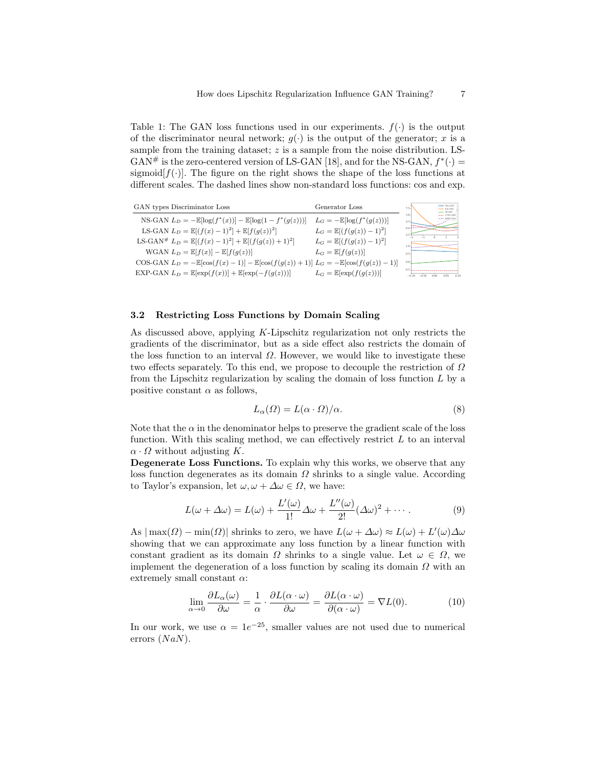Table 1: The GAN loss functions used in our experiments.  $f(\cdot)$  is the output of the discriminator neural network;  $g(\cdot)$  is the output of the generator; x is a sample from the training dataset;  $z$  is a sample from the noise distribution. LS-GAN# is the zero-centered version of LS-GAN [18], and for the NS-GAN,  $f^*(\cdot)$  = sigmoid $[f(\cdot)]$ . The figure on the right shows the shape of the loss functions at different scales. The dashed lines show non-standard loss functions: cos and exp.



## 3.2 Restricting Loss Functions by Domain Scaling

As discussed above, applying K-Lipschitz regularization not only restricts the gradients of the discriminator, but as a side effect also restricts the domain of the loss function to an interval  $\Omega$ . However, we would like to investigate these two effects separately. To this end, we propose to decouple the restriction of  $\Omega$ from the Lipschitz regularization by scaling the domain of loss function  $L$  by a positive constant  $\alpha$  as follows,

$$
L_{\alpha}(\Omega) = L(\alpha \cdot \Omega)/\alpha.
$$
 (8)

Note that the  $\alpha$  in the denominator helps to preserve the gradient scale of the loss function. With this scaling method, we can effectively restrict  $L$  to an interval  $\alpha \cdot \Omega$  without adjusting K.

Degenerate Loss Functions. To explain why this works, we observe that any loss function degenerates as its domain  $\Omega$  shrinks to a single value. According to Taylor's expansion, let  $\omega, \omega + \Delta \omega \in \Omega$ , we have:

$$
L(\omega + \Delta \omega) = L(\omega) + \frac{L'(\omega)}{1!} \Delta \omega + \frac{L''(\omega)}{2!} (\Delta \omega)^2 + \cdots
$$
 (9)

As  $|\max(\Omega) - \min(\Omega)|$  shrinks to zero, we have  $L(\omega + \Delta \omega) \approx L(\omega) + L'(\omega) \Delta \omega$ showing that we can approximate any loss function by a linear function with constant gradient as its domain  $\Omega$  shrinks to a single value. Let  $\omega \in \Omega$ , we implement the degeneration of a loss function by scaling its domain  $\Omega$  with an extremely small constant  $\alpha$ :

$$
\lim_{\alpha \to 0} \frac{\partial L_{\alpha}(\omega)}{\partial \omega} = \frac{1}{\alpha} \cdot \frac{\partial L(\alpha \cdot \omega)}{\partial \omega} = \frac{\partial L(\alpha \cdot \omega)}{\partial (\alpha \cdot \omega)} = \nabla L(0). \tag{10}
$$

In our work, we use  $\alpha = 1e^{-25}$ , smaller values are not used due to numerical errors  $(NaN)$ .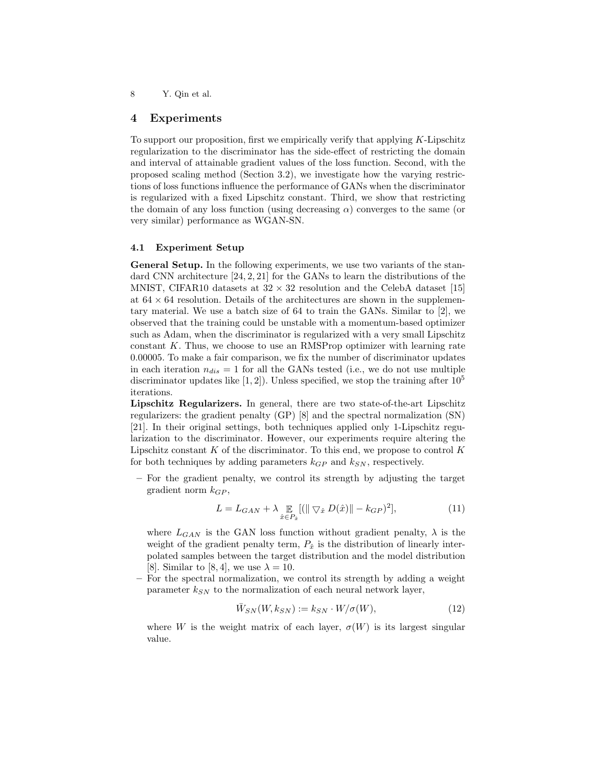## 4 Experiments

To support our proposition, first we empirically verify that applying  $K$ -Lipschitz regularization to the discriminator has the side-effect of restricting the domain and interval of attainable gradient values of the loss function. Second, with the proposed scaling method (Section 3.2), we investigate how the varying restrictions of loss functions influence the performance of GANs when the discriminator is regularized with a fixed Lipschitz constant. Third, we show that restricting the domain of any loss function (using decreasing  $\alpha$ ) converges to the same (or very similar) performance as WGAN-SN.

#### 4.1 Experiment Setup

General Setup. In the following experiments, we use two variants of the standard CNN architecture [24, 2, 21] for the GANs to learn the distributions of the MNIST, CIFAR10 datasets at  $32 \times 32$  resolution and the CelebA dataset [15] at  $64 \times 64$  resolution. Details of the architectures are shown in the supplementary material. We use a batch size of 64 to train the GANs. Similar to [2], we observed that the training could be unstable with a momentum-based optimizer such as Adam, when the discriminator is regularized with a very small Lipschitz constant  $K$ . Thus, we choose to use an RMSProp optimizer with learning rate 0.00005. To make a fair comparison, we fix the number of discriminator updates in each iteration  $n_{dis} = 1$  for all the GANs tested (i.e., we do not use multiple discriminator updates like  $[1, 2]$ . Unless specified, we stop the training after  $10<sup>5</sup>$ iterations.

Lipschitz Regularizers. In general, there are two state-of-the-art Lipschitz regularizers: the gradient penalty (GP) [8] and the spectral normalization (SN) [21]. In their original settings, both techniques applied only 1-Lipschitz regularization to the discriminator. However, our experiments require altering the Lipschitz constant  $K$  of the discriminator. To this end, we propose to control  $K$ for both techniques by adding parameters  $k_{GP}$  and  $k_{SN}$ , respectively.

– For the gradient penalty, we control its strength by adjusting the target gradient norm  $k_{GP}$ ,

$$
L = L_{GAN} + \lambda \mathop{\mathbb{E}}_{\hat{x} \in P_{\hat{x}}} [(\|\nabla_{\hat{x}} D(\hat{x})\| - k_{GP})^2],
$$
\n(11)

where  $L_{GAN}$  is the GAN loss function without gradient penalty,  $\lambda$  is the weight of the gradient penalty term,  $P_{\hat{x}}$  is the distribution of linearly interpolated samples between the target distribution and the model distribution [8]. Similar to [8, 4], we use  $\lambda = 10$ .

– For the spectral normalization, we control its strength by adding a weight parameter  $k_{SN}$  to the normalization of each neural network layer,

$$
\overline{W}_{SN}(W, k_{SN}) := k_{SN} \cdot W / \sigma(W), \qquad (12)
$$

where W is the weight matrix of each layer,  $\sigma(W)$  is its largest singular value.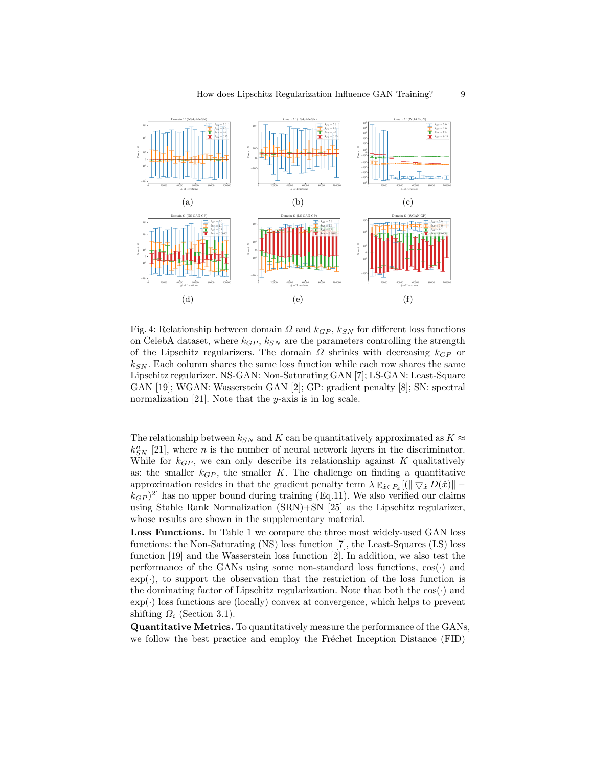

Fig. 4: Relationship between domain  $\Omega$  and  $k_{GP}$ ,  $k_{SN}$  for different loss functions on CelebA dataset, where  $k_{GP}$ ,  $k_{SN}$  are the parameters controlling the strength of the Lipschitz regularizers. The domain  $\Omega$  shrinks with decreasing  $k_{GP}$  or  $k_{SN}$ . Each column shares the same loss function while each row shares the same Lipschitz regularizer. NS-GAN: Non-Saturating GAN [7]; LS-GAN: Least-Square GAN [19]; WGAN: Wasserstein GAN [2]; GP: gradient penalty [8]; SN: spectral normalization [21]. Note that the  $y$ -axis is in log scale.

The relationship between  $k_{SN}$  and K can be quantitatively approximated as  $K \approx$  $k_{SN}^{n}$  [21], where *n* is the number of neural network layers in the discriminator. While for  $k_{GP}$ , we can only describe its relationship against K qualitatively as: the smaller  $k_{GP}$ , the smaller K. The challenge on finding a quantitative approximation resides in that the gradient penalty term  $\lambda \mathbb{E}_{\hat{x}} \in P_{\hat{x}} [(\|\nabla_{\hat{x}} D(\hat{x})\| (k_{GP})^2$  has no upper bound during training (Eq.11). We also verified our claims using Stable Rank Normalization (SRN)+SN [25] as the Lipschitz regularizer, whose results are shown in the supplementary material.

Loss Functions. In Table 1 we compare the three most widely-used GAN loss functions: the Non-Saturating (NS) loss function [7], the Least-Squares (LS) loss function [19] and the Wasserstein loss function [2]. In addition, we also test the performance of the GANs using some non-standard loss functions,  $cos(\cdot)$  and  $\exp(\cdot)$ , to support the observation that the restriction of the loss function is the dominating factor of Lipschitz regularization. Note that both the  $cos(\cdot)$  and  $\exp(\cdot)$  loss functions are (locally) convex at convergence, which helps to prevent shifting  $\Omega_i$  (Section 3.1).

Quantitative Metrics. To quantitatively measure the performance of the GANs, we follow the best practice and employ the Fréchet Inception Distance (FID)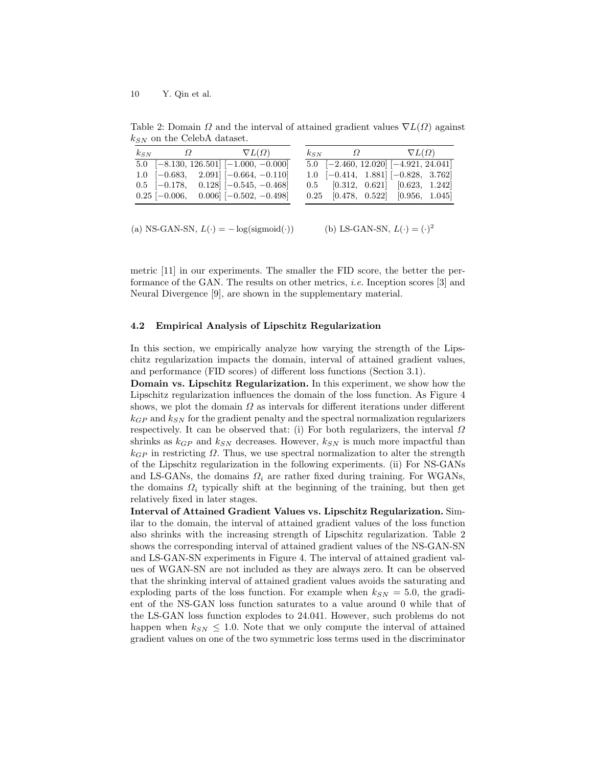$k_{SN}$   $\Omega$   $\nabla L(\Omega)$  $\overline{5.0}$  [−8.130, 126.501] [−1.000, −0.000] 1.0 [−0.683, 2.091] [−0.664, −0.110] 0.5 [−0.178, 0.128] [−0.545, −0.468]  $0.25$  [-0.006, 0.006] [-0.502, -0.498]  $k_{SN}$   $\qquad \qquad \Omega$   $\nabla L(\Omega)$ 5.0 [−2.460, 12.020] [−4.921, 24.041] 1.0 [−0.414, 1.881] [−0.828, 3.762] 0.5 [0.312, 0.621] [0.623, 1.242] 0.25 [0.478, 0.522] [0.956, 1.045]

Table 2: Domain  $\Omega$  and the interval of attained gradient values  $\nabla L(\Omega)$  against  $k_{SN}$  on the CelebA dataset.

(a) NS-GAN-SN,  $L(\cdot) = -\log(\text{sigmoid}(\cdot))$ (b) LS-GAN-SN,  $L(\cdot) = (\cdot)^2$ 

metric [11] in our experiments. The smaller the FID score, the better the performance of the GAN. The results on other metrics, i.e. Inception scores [3] and Neural Divergence [9], are shown in the supplementary material.

## 4.2 Empirical Analysis of Lipschitz Regularization

In this section, we empirically analyze how varying the strength of the Lipschitz regularization impacts the domain, interval of attained gradient values, and performance (FID scores) of different loss functions (Section 3.1).

Domain vs. Lipschitz Regularization. In this experiment, we show how the Lipschitz regularization influences the domain of the loss function. As Figure 4 shows, we plot the domain  $\Omega$  as intervals for different iterations under different  $k_{GP}$  and  $k_{SN}$  for the gradient penalty and the spectral normalization regularizers respectively. It can be observed that: (i) For both regularizers, the interval  $\Omega$ shrinks as  $k_{GP}$  and  $k_{SN}$  decreases. However,  $k_{SN}$  is much more impactful than  $k_{GP}$  in restricting  $\Omega$ . Thus, we use spectral normalization to alter the strength of the Lipschitz regularization in the following experiments. (ii) For NS-GANs and LS-GANs, the domains  $\Omega_i$  are rather fixed during training. For WGANs, the domains  $\Omega_i$  typically shift at the beginning of the training, but then get relatively fixed in later stages.

Interval of Attained Gradient Values vs. Lipschitz Regularization. Similar to the domain, the interval of attained gradient values of the loss function also shrinks with the increasing strength of Lipschitz regularization. Table 2 shows the corresponding interval of attained gradient values of the NS-GAN-SN and LS-GAN-SN experiments in Figure 4. The interval of attained gradient values of WGAN-SN are not included as they are always zero. It can be observed that the shrinking interval of attained gradient values avoids the saturating and exploding parts of the loss function. For example when  $k_{SN} = 5.0$ , the gradient of the NS-GAN loss function saturates to a value around 0 while that of the LS-GAN loss function explodes to 24.041. However, such problems do not happen when  $k_{SN} \leq 1.0$ . Note that we only compute the interval of attained gradient values on one of the two symmetric loss terms used in the discriminator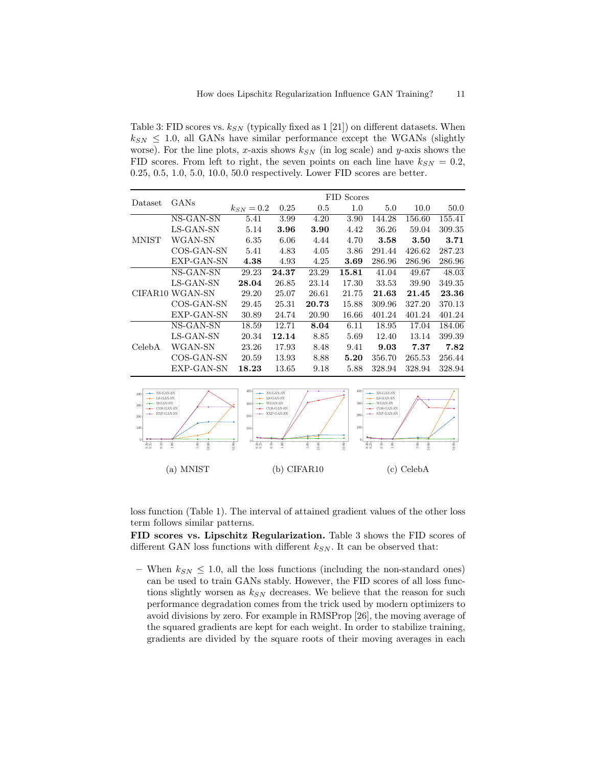Table 3: FID scores vs.  $k_{SN}$  (typically fixed as 1 [21]) on different datasets. When  $k_{SN} \leq 1.0$ , all GANs have similar performance except the WGANs (slightly worse). For the line plots, x-axis shows  $k_{SN}$  (in log scale) and y-axis shows the FID scores. From left to right, the seven points on each line have  $k_{SN} = 0.2$ , 0.25, 0.5, 1.0, 5.0, 10.0, 50.0 respectively. Lower FID scores are better.

|         | GANs                        | FID Scores     |       |       |       |        |        |        |  |
|---------|-----------------------------|----------------|-------|-------|-------|--------|--------|--------|--|
| Dataset |                             | $k_{SN} = 0.2$ | 0.25  | 0.5   | 1.0   | 5.0    | 10.0   | 50.0   |  |
|         | NS-GAN-SN                   | 5.41           | 3.99  | 4.20  | 3.90  | 144.28 | 156.60 | 155.41 |  |
|         | LS-GAN-SN                   | 5.14           | 3.96  | 3.90  | 4.42  | 36.26  | 59.04  | 309.35 |  |
| MNIST   | WGAN-SN                     | 6.35           | 6.06  | 4.44  | 4.70  | 3.58   | 3.50   | 3.71   |  |
|         | COS-GAN-SN                  | 5.41           | 4.83  | 4.05  | 3.86  | 291.44 | 426.62 | 287.23 |  |
|         | EXP-GAN-SN                  | 4.38           | 4.93  | 4.25  | 3.69  | 286.96 | 286.96 | 286.96 |  |
|         | NS-GAN-SN                   | 29.23          | 24.37 | 23.29 | 15.81 | 41.04  | 49.67  | 48.03  |  |
|         | LS-GAN-SN                   | 28.04          | 26.85 | 23.14 | 17.30 | 33.53  | 39.90  | 349.35 |  |
|         | CIFAR <sub>10</sub> WGAN-SN | 29.20          | 25.07 | 26.61 | 21.75 | 21.63  | 21.45  | 23.36  |  |
|         | COS-GAN-SN                  | 29.45          | 25.31 | 20.73 | 15.88 | 309.96 | 327.20 | 370.13 |  |
|         | EXP-GAN-SN                  | 30.89          | 24.74 | 20.90 | 16.66 | 401.24 | 401.24 | 401.24 |  |
| CelebA  | NS-GAN-SN                   | 18.59          | 12.71 | 8.04  | 6.11  | 18.95  | 17.04  | 184.06 |  |
|         | LS-GAN-SN                   | 20.34          | 12.14 | 8.85  | 5.69  | 12.40  | 13.14  | 399.39 |  |
|         | WGAN-SN                     | 23.26          | 17.93 | 8.48  | 9.41  | 9.03   | 7.37   | 7.82   |  |
|         | COS-GAN-SN                  | 20.59          | 13.93 | 8.88  | 5.20  | 356.70 | 265.53 | 256.44 |  |
|         | EXP-GAN-SN                  | 18.23          | 13.65 | 9.18  | 5.88  | 328.94 | 328.94 | 328.94 |  |



loss function (Table 1). The interval of attained gradient values of the other loss term follows similar patterns.

FID scores vs. Lipschitz Regularization. Table 3 shows the FID scores of different GAN loss functions with different  $k_{SN}$ . It can be observed that:

– When  $k_{SN} \leq 1.0$ , all the loss functions (including the non-standard ones) can be used to train GANs stably. However, the FID scores of all loss functions slightly worsen as  $k_{SN}$  decreases. We believe that the reason for such performance degradation comes from the trick used by modern optimizers to avoid divisions by zero. For example in RMSProp [26], the moving average of the squared gradients are kept for each weight. In order to stabilize training, gradients are divided by the square roots of their moving averages in each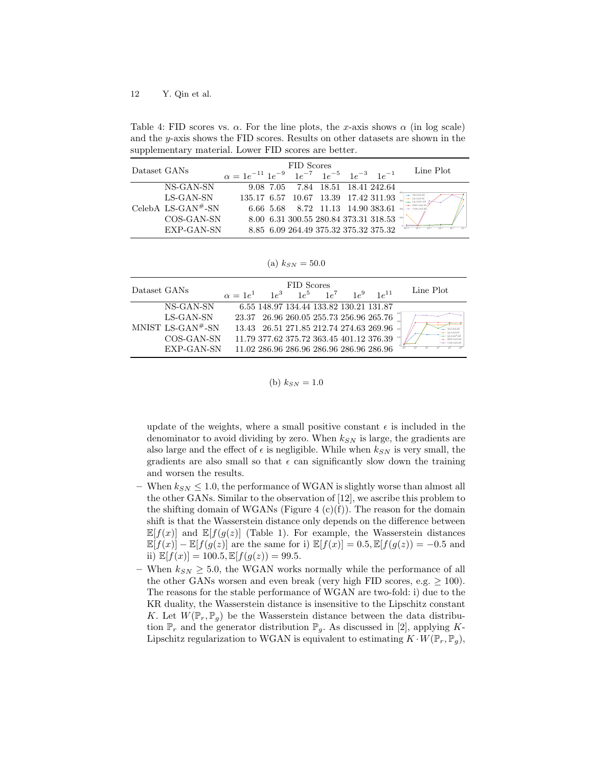Table 4: FID scores vs.  $\alpha$ . For the line plots, the x-axis shows  $\alpha$  (in log scale) and the y-axis shows the FID scores. Results on other datasets are shown in the supplementary material. Lower FID scores are better.

| Dataset GANs |                                | FID Scores                                                  |  |                                       |  |  |                                                             | Line Plot |
|--------------|--------------------------------|-------------------------------------------------------------|--|---------------------------------------|--|--|-------------------------------------------------------------|-----------|
|              |                                | $\alpha = 1e^{-11} 1e^{-9} 1e^{-7} 1e^{-5} 1e^{-3} 1e^{-1}$ |  |                                       |  |  |                                                             |           |
|              | NS-GAN-SN                      |                                                             |  | 9.08 7.05 7.84 18.51 18.41 242.64     |  |  |                                                             |           |
|              | LS-GAN-SN                      |                                                             |  |                                       |  |  | $135.17 \ \ 6.57 \ \ 10.67 \ \ 13.39 \ \ 17.42 \ 311.93$    |           |
|              | CelebA LS-GAN <sup>#</sup> -SN |                                                             |  | 6.66 5.68 8.72 11.13 14.90 383.61     |  |  |                                                             |           |
|              | COS-GAN-SN                     |                                                             |  |                                       |  |  | $8.00 \ \ 6.31 \ \ 300.55 \ \ 280.84 \ \ 373.31 \ \ 318.53$ |           |
|              | EXP-GAN-SN                     |                                                             |  | 8.85 6.09 264.49 375.32 375.32 375.32 |  |  |                                                             | $10 - 11$ |

(a)  $k_{SN} = 50.0$ 

| Dataset GANs |                               | $\alpha = 1e^1$ | $1e^3$                                   | FID Scores | $1e^5 - 1e^7$ | $1e^9$ | $1e^{11}$                                       | Line Plot      |
|--------------|-------------------------------|-----------------|------------------------------------------|------------|---------------|--------|-------------------------------------------------|----------------|
|              | NS-GAN-SN                     |                 | 6.55 148.97 134.44 133.82 130.21 131.87  |            |               |        |                                                 |                |
|              | LS-GAN-SN                     |                 |                                          |            |               |        | 23.37 26.96 260.05 255.73 256.96 265.76         |                |
|              | MNIST LS-GAN <sup>#</sup> -SN |                 | 13.43 26.51 271.85 212.74 274.63 269.96  |            |               |        |                                                 |                |
|              | COS-GAN-SN                    |                 | 11.79 377.62 375.72 363.45 401.12 376.39 |            |               |        |                                                 | <b>EXP-GAN</b> |
|              | EXP-GAN-SN                    |                 |                                          |            |               |        | $11.02\ 286.96\ 286.96\ 286.96\ 286.96\ 286.96$ |                |

(b) 
$$
k_{SN} = 1.0
$$

update of the weights, where a small positive constant  $\epsilon$  is included in the denominator to avoid dividing by zero. When  $k_{SN}$  is large, the gradients are also large and the effect of  $\epsilon$  is negligible. While when  $k_{SN}$  is very small, the gradients are also small so that  $\epsilon$  can significantly slow down the training and worsen the results.

- When  $k_{SN} \leq 1.0$ , the performance of WGAN is slightly worse than almost all the other GANs. Similar to the observation of [12], we ascribe this problem to the shifting domain of WGANs (Figure 4  $(c)(f)$ ). The reason for the domain shift is that the Wasserstein distance only depends on the difference between  $\mathbb{E}[f(x)]$  and  $\mathbb{E}[f(g(z))]$  (Table 1). For example, the Wasserstein distances  $\mathbb{E}[f(x)] - \mathbb{E}[f(g(z)]$  are the same for i)  $\mathbb{E}[f(x)] = 0.5$ ,  $\mathbb{E}[f(g(z))] = -0.5$  and ii)  $\mathbb{E}[f(x)] = 100.5, \mathbb{E}[f(g(z)) = 99.5.$
- When  $k_{SN} \geq 5.0$ , the WGAN works normally while the performance of all the other GANs worsen and even break (very high FID scores, e.g.  $\geq 100$ ). The reasons for the stable performance of WGAN are two-fold: i) due to the KR duality, the Wasserstein distance is insensitive to the Lipschitz constant K. Let  $W(\mathbb{P}_r, \mathbb{P}_q)$  be the Wasserstein distance between the data distribution  $\mathbb{P}_r$  and the generator distribution  $\mathbb{P}_g$ . As discussed in [2], applying K-Lipschitz regularization to WGAN is equivalent to estimating  $K \cdot W(\mathbb{P}_r, \mathbb{P}_q)$ ,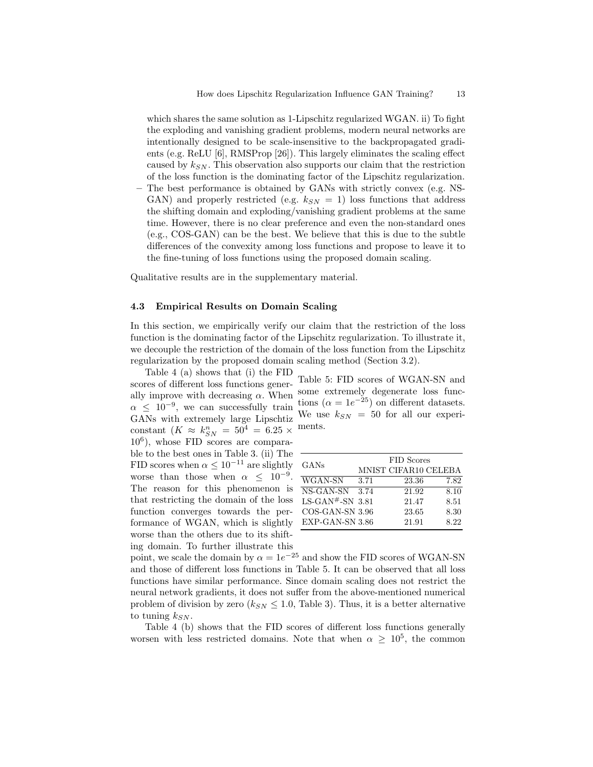which shares the same solution as 1-Lipschitz regularized WGAN. ii) To fight the exploding and vanishing gradient problems, modern neural networks are intentionally designed to be scale-insensitive to the backpropagated gradients (e.g. ReLU [6], RMSProp [26]). This largely eliminates the scaling effect caused by  $k_{SN}$ . This observation also supports our claim that the restriction of the loss function is the dominating factor of the Lipschitz regularization.

– The best performance is obtained by GANs with strictly convex (e.g. NS-GAN) and properly restricted (e.g.  $k_{SN} = 1$ ) loss functions that address the shifting domain and exploding/vanishing gradient problems at the same time. However, there is no clear preference and even the non-standard ones (e.g., COS-GAN) can be the best. We believe that this is due to the subtle differences of the convexity among loss functions and propose to leave it to the fine-tuning of loss functions using the proposed domain scaling.

Qualitative results are in the supplementary material.

#### 4.3 Empirical Results on Domain Scaling

In this section, we empirically verify our claim that the restriction of the loss function is the dominating factor of the Lipschitz regularization. To illustrate it, we decouple the restriction of the domain of the loss function from the Lipschitz regularization by the proposed domain scaling method (Section 3.2).

Table 4 (a) shows that (i) the FID scores of different loss functions generally improve with decreasing  $\alpha$ . When  $\alpha \leq 10^{-9}$ , we can successfully train GANs with extremely large Lipschtiz constant  $(K \approx k_{SN}^n = 50^4 = 6.25 \times$ 10<sup>6</sup> ), whose FID scores are comparable to the best ones in Table 3. (ii) The FID scores when  $\alpha \leq 10^{-11}$  are slightly worse than those when  $\alpha \leq 10^{-9}$ . The reason for this phenomenon is that restricting the domain of the loss function converges towards the performance of WGAN, which is slightly worse than the others due to its shifting domain. To further illustrate this

| Table 5: FID scores of WGAN-SN and                   |
|------------------------------------------------------|
| some extremely degenerate loss func-                 |
| tions ( $\alpha = 1e^{-25}$ ) on different datasets. |
| We use $k_{SN}$ = 50 for all our experi-             |
| ments.                                               |

| GANs              | FID Scores |                      |      |  |  |  |  |
|-------------------|------------|----------------------|------|--|--|--|--|
|                   |            | MNIST CIFAR10 CELEBA |      |  |  |  |  |
| WGAN-SN           | 3.71       | 23.36                | 7.82 |  |  |  |  |
| NS-GAN-SN         | 3.74       | 21.92                | 8.10 |  |  |  |  |
| LS-GAN#-SN $3.81$ |            | 21.47                | 8.51 |  |  |  |  |
| COS-GAN-SN 3.96   |            | 23.65                | 8.30 |  |  |  |  |
| EXP-GAN-SN 3.86   |            | 21.91                | 8.22 |  |  |  |  |

point, we scale the domain by  $\alpha = 1e^{-25}$  and show the FID scores of WGAN-SN and those of different loss functions in Table 5. It can be observed that all loss functions have similar performance. Since domain scaling does not restrict the neural network gradients, it does not suffer from the above-mentioned numerical problem of division by zero  $(k_{SN} \leq 1.0,$  Table 3). Thus, it is a better alternative to tuning  $k_{SN}$ .

Table 4 (b) shows that the FID scores of different loss functions generally worsen with less restricted domains. Note that when  $\alpha \geq 10^5$ , the common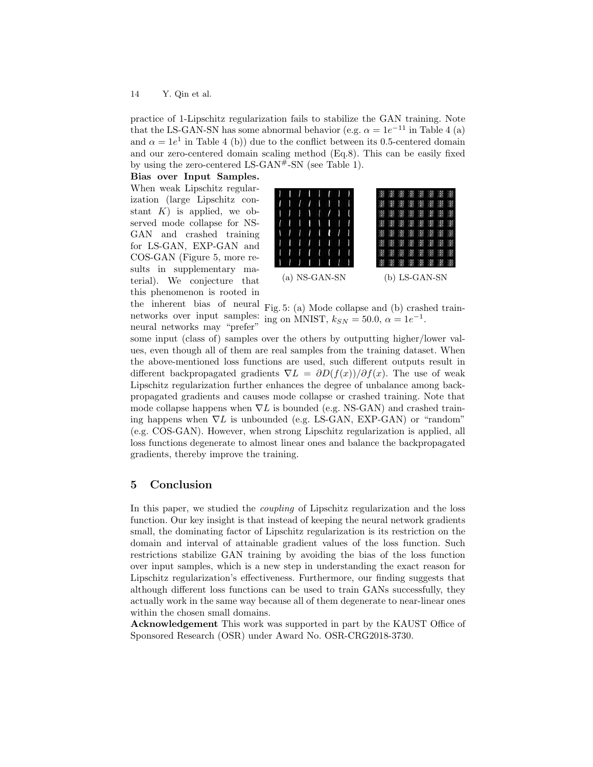practice of 1-Lipschitz regularization fails to stabilize the GAN training. Note that the LS-GAN-SN has some abnormal behavior (e.g.  $\alpha = 1e^{-11}$  in Table 4 (a) and  $\alpha = 1e^1$  in Table 4 (b)) due to the conflict between its 0.5-centered domain and our zero-centered domain scaling method (Eq.8). This can be easily fixed by using the zero-centered LS-GAN $#$ -SN (see Table 1).

Bias over Input Samples. When weak Lipschitz regularization (large Lipschitz constant  $K$ ) is applied, we observed mode collapse for NS-GAN and crashed training for LS-GAN, EXP-GAN and COS-GAN (Figure 5, more results in supplementary material). We conjecture that this phenomenon is rooted in the inherent bias of neural networks over input samples: neural networks may "prefer"



Fig. 5: (a) Mode collapse and (b) crashed training on MNIST,  $k_{SN} = 50.0, \ \alpha = 1e^{-1}$ .

some input (class of) samples over the others by outputting higher/lower values, even though all of them are real samples from the training dataset. When the above-mentioned loss functions are used, such different outputs result in different backpropagated gradients  $\nabla L = \partial D(f(x))/\partial f(x)$ . The use of weak Lipschitz regularization further enhances the degree of unbalance among backpropagated gradients and causes mode collapse or crashed training. Note that mode collapse happens when  $\nabla L$  is bounded (e.g. NS-GAN) and crashed training happens when  $\nabla L$  is unbounded (e.g. LS-GAN, EXP-GAN) or "random" (e.g. COS-GAN). However, when strong Lipschitz regularization is applied, all loss functions degenerate to almost linear ones and balance the backpropagated gradients, thereby improve the training.

# 5 Conclusion

In this paper, we studied the coupling of Lipschitz regularization and the loss function. Our key insight is that instead of keeping the neural network gradients small, the dominating factor of Lipschitz regularization is its restriction on the domain and interval of attainable gradient values of the loss function. Such restrictions stabilize GAN training by avoiding the bias of the loss function over input samples, which is a new step in understanding the exact reason for Lipschitz regularization's effectiveness. Furthermore, our finding suggests that although different loss functions can be used to train GANs successfully, they actually work in the same way because all of them degenerate to near-linear ones within the chosen small domains.

Acknowledgement This work was supported in part by the KAUST Office of Sponsored Research (OSR) under Award No. OSR-CRG2018-3730.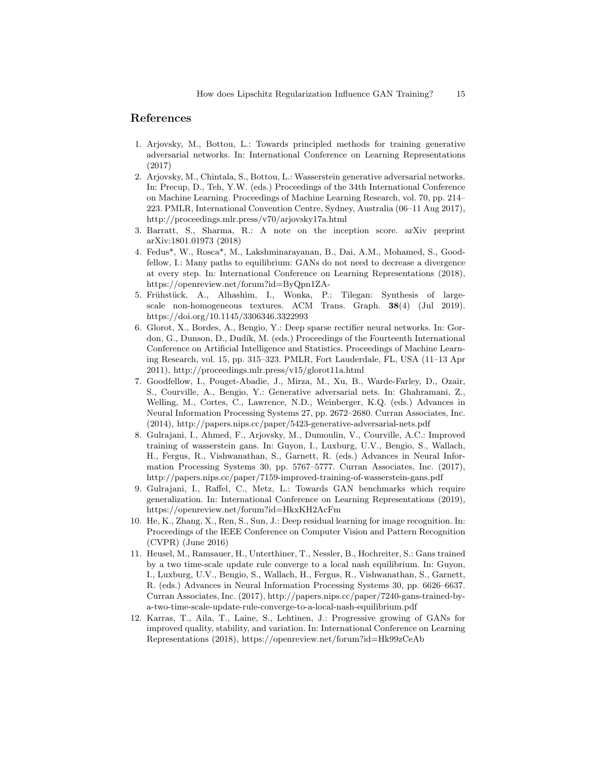## References

- 1. Arjovsky, M., Bottou, L.: Towards principled methods for training generative adversarial networks. In: International Conference on Learning Representations (2017)
- 2. Arjovsky, M., Chintala, S., Bottou, L.: Wasserstein generative adversarial networks. In: Precup, D., Teh, Y.W. (eds.) Proceedings of the 34th International Conference on Machine Learning. Proceedings of Machine Learning Research, vol. 70, pp. 214– 223. PMLR, International Convention Centre, Sydney, Australia (06–11 Aug 2017), http://proceedings.mlr.press/v70/arjovsky17a.html
- 3. Barratt, S., Sharma, R.: A note on the inception score. arXiv preprint arXiv:1801.01973 (2018)
- 4. Fedus\*, W., Rosca\*, M., Lakshminarayanan, B., Dai, A.M., Mohamed, S., Goodfellow, I.: Many paths to equilibrium: GANs do not need to decrease a divergence at every step. In: International Conference on Learning Representations (2018), https://openreview.net/forum?id=ByQpn1ZA-
- 5. Frühstück, A., Alhashim, I., Wonka, P.: Tilegan: Synthesis of largescale non-homogeneous textures. ACM Trans. Graph. 38(4) (Jul 2019). https://doi.org/10.1145/3306346.3322993
- 6. Glorot, X., Bordes, A., Bengio, Y.: Deep sparse rectifier neural networks. In: Gordon, G., Dunson, D., Dudík, M. (eds.) Proceedings of the Fourteenth International Conference on Artificial Intelligence and Statistics. Proceedings of Machine Learning Research, vol. 15, pp. 315–323. PMLR, Fort Lauderdale, FL, USA (11–13 Apr 2011), http://proceedings.mlr.press/v15/glorot11a.html
- 7. Goodfellow, I., Pouget-Abadie, J., Mirza, M., Xu, B., Warde-Farley, D., Ozair, S., Courville, A., Bengio, Y.: Generative adversarial nets. In: Ghahramani, Z., Welling, M., Cortes, C., Lawrence, N.D., Weinberger, K.Q. (eds.) Advances in Neural Information Processing Systems 27, pp. 2672–2680. Curran Associates, Inc. (2014), http://papers.nips.cc/paper/5423-generative-adversarial-nets.pdf
- 8. Gulrajani, I., Ahmed, F., Arjovsky, M., Dumoulin, V., Courville, A.C.: Improved training of wasserstein gans. In: Guyon, I., Luxburg, U.V., Bengio, S., Wallach, H., Fergus, R., Vishwanathan, S., Garnett, R. (eds.) Advances in Neural Information Processing Systems 30, pp. 5767–5777. Curran Associates, Inc. (2017), http://papers.nips.cc/paper/7159-improved-training-of-wasserstein-gans.pdf
- 9. Gulrajani, I., Raffel, C., Metz, L.: Towards GAN benchmarks which require generalization. In: International Conference on Learning Representations (2019), https://openreview.net/forum?id=HkxKH2AcFm
- 10. He, K., Zhang, X., Ren, S., Sun, J.: Deep residual learning for image recognition. In: Proceedings of the IEEE Conference on Computer Vision and Pattern Recognition (CVPR) (June 2016)
- 11. Heusel, M., Ramsauer, H., Unterthiner, T., Nessler, B., Hochreiter, S.: Gans trained by a two time-scale update rule converge to a local nash equilibrium. In: Guyon, I., Luxburg, U.V., Bengio, S., Wallach, H., Fergus, R., Vishwanathan, S., Garnett, R. (eds.) Advances in Neural Information Processing Systems 30, pp. 6626–6637. Curran Associates, Inc. (2017), http://papers.nips.cc/paper/7240-gans-trained-bya-two-time-scale-update-rule-converge-to-a-local-nash-equilibrium.pdf
- 12. Karras, T., Aila, T., Laine, S., Lehtinen, J.: Progressive growing of GANs for improved quality, stability, and variation. In: International Conference on Learning Representations (2018), https://openreview.net/forum?id=Hk99zCeAb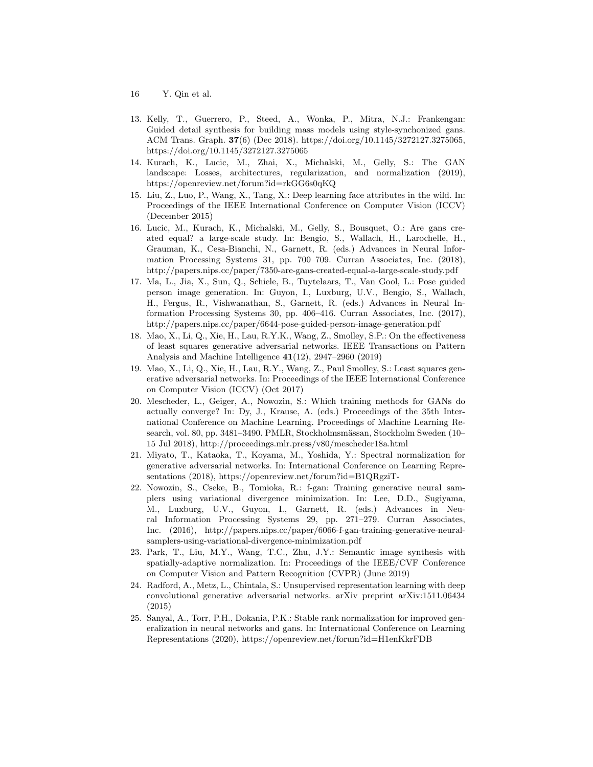- 16 Y. Qin et al.
- 13. Kelly, T., Guerrero, P., Steed, A., Wonka, P., Mitra, N.J.: Frankengan: Guided detail synthesis for building mass models using style-synchonized gans. ACM Trans. Graph. 37(6) (Dec 2018). https://doi.org/10.1145/3272127.3275065, https://doi.org/10.1145/3272127.3275065
- 14. Kurach, K., Lucic, M., Zhai, X., Michalski, M., Gelly, S.: The GAN landscape: Losses, architectures, regularization, and normalization (2019), https://openreview.net/forum?id=rkGG6s0qKQ
- 15. Liu, Z., Luo, P., Wang, X., Tang, X.: Deep learning face attributes in the wild. In: Proceedings of the IEEE International Conference on Computer Vision (ICCV) (December 2015)
- 16. Lucic, M., Kurach, K., Michalski, M., Gelly, S., Bousquet, O.: Are gans created equal? a large-scale study. In: Bengio, S., Wallach, H., Larochelle, H., Grauman, K., Cesa-Bianchi, N., Garnett, R. (eds.) Advances in Neural Information Processing Systems 31, pp. 700–709. Curran Associates, Inc. (2018), http://papers.nips.cc/paper/7350-are-gans-created-equal-a-large-scale-study.pdf
- 17. Ma, L., Jia, X., Sun, Q., Schiele, B., Tuytelaars, T., Van Gool, L.: Pose guided person image generation. In: Guyon, I., Luxburg, U.V., Bengio, S., Wallach, H., Fergus, R., Vishwanathan, S., Garnett, R. (eds.) Advances in Neural Information Processing Systems 30, pp. 406–416. Curran Associates, Inc. (2017), http://papers.nips.cc/paper/6644-pose-guided-person-image-generation.pdf
- 18. Mao, X., Li, Q., Xie, H., Lau, R.Y.K., Wang, Z., Smolley, S.P.: On the effectiveness of least squares generative adversarial networks. IEEE Transactions on Pattern Analysis and Machine Intelligence 41(12), 2947–2960 (2019)
- 19. Mao, X., Li, Q., Xie, H., Lau, R.Y., Wang, Z., Paul Smolley, S.: Least squares generative adversarial networks. In: Proceedings of the IEEE International Conference on Computer Vision (ICCV) (Oct 2017)
- 20. Mescheder, L., Geiger, A., Nowozin, S.: Which training methods for GANs do actually converge? In: Dy, J., Krause, A. (eds.) Proceedings of the 35th International Conference on Machine Learning. Proceedings of Machine Learning Research, vol. 80, pp. 3481–3490. PMLR, Stockholmsmässan, Stockholm Sweden (10– 15 Jul 2018), http://proceedings.mlr.press/v80/mescheder18a.html
- 21. Miyato, T., Kataoka, T., Koyama, M., Yoshida, Y.: Spectral normalization for generative adversarial networks. In: International Conference on Learning Representations (2018), https://openreview.net/forum?id=B1QRgziT-
- 22. Nowozin, S., Cseke, B., Tomioka, R.: f-gan: Training generative neural samplers using variational divergence minimization. In: Lee, D.D., Sugiyama, M., Luxburg, U.V., Guyon, I., Garnett, R. (eds.) Advances in Neural Information Processing Systems 29, pp. 271–279. Curran Associates, Inc. (2016), http://papers.nips.cc/paper/6066-f-gan-training-generative-neuralsamplers-using-variational-divergence-minimization.pdf
- 23. Park, T., Liu, M.Y., Wang, T.C., Zhu, J.Y.: Semantic image synthesis with spatially-adaptive normalization. In: Proceedings of the IEEE/CVF Conference on Computer Vision and Pattern Recognition (CVPR) (June 2019)
- 24. Radford, A., Metz, L., Chintala, S.: Unsupervised representation learning with deep convolutional generative adversarial networks. arXiv preprint arXiv:1511.06434 (2015)
- 25. Sanyal, A., Torr, P.H., Dokania, P.K.: Stable rank normalization for improved generalization in neural networks and gans. In: International Conference on Learning Representations (2020), https://openreview.net/forum?id=H1enKkrFDB